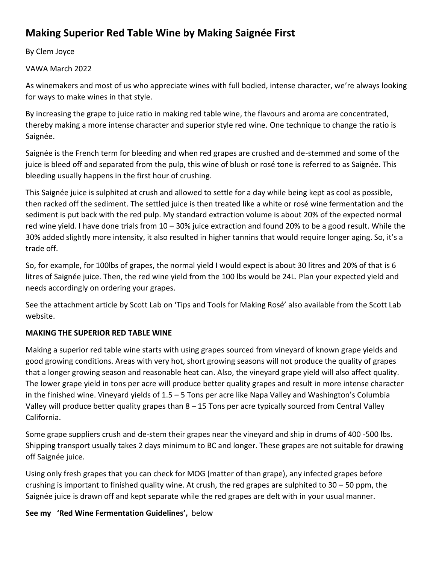# **Making Superior Red Table Wine by Making Saignée First**

By Clem Joyce

VAWA March 2022

As winemakers and most of us who appreciate wines with full bodied, intense character, we're always looking for ways to make wines in that style.

By increasing the grape to juice ratio in making red table wine, the flavours and aroma are concentrated, thereby making a more intense character and superior style red wine. One technique to change the ratio is Saignée.

Saignée is the French term for bleeding and when red grapes are crushed and de-stemmed and some of the juice is bleed off and separated from the pulp, this wine of blush or rosé tone is referred to as Saignée. This bleeding usually happens in the first hour of crushing.

This Saignée juice is sulphited at crush and allowed to settle for a day while being kept as cool as possible, then racked off the sediment. The settled juice is then treated like a white or rosé wine fermentation and the sediment is put back with the red pulp. My standard extraction volume is about 20% of the expected normal red wine yield. I have done trials from 10 – 30% juice extraction and found 20% to be a good result. While the 30% added slightly more intensity, it also resulted in higher tannins that would require longer aging. So, it's a trade off.

So, for example, for 100lbs of grapes, the normal yield I would expect is about 30 litres and 20% of that is 6 litres of Saignée juice. Then, the red wine yield from the 100 lbs would be 24L. Plan your expected yield and needs accordingly on ordering your grapes.

See the attachment article by Scott Lab on 'Tips and Tools for Making Rosé' also available from the Scott Lab website.

# **MAKING THE SUPERIOR RED TABLE WINE**

Making a superior red table wine starts with using grapes sourced from vineyard of known grape yields and good growing conditions. Areas with very hot, short growing seasons will not produce the quality of grapes that a longer growing season and reasonable heat can. Also, the vineyard grape yield will also affect quality. The lower grape yield in tons per acre will produce better quality grapes and result in more intense character in the finished wine. Vineyard yields of 1.5 – 5 Tons per acre like Napa Valley and Washington's Columbia Valley will produce better quality grapes than 8 – 15 Tons per acre typically sourced from Central Valley California.

Some grape suppliers crush and de-stem their grapes near the vineyard and ship in drums of 400 -500 lbs. Shipping transport usually takes 2 days minimum to BC and longer. These grapes are not suitable for drawing off Saignée juice.

Using only fresh grapes that you can check for MOG (matter of than grape), any infected grapes before crushing is important to finished quality wine. At crush, the red grapes are sulphited to  $30 - 50$  ppm, the Saignée juice is drawn off and kept separate while the red grapes are delt with in your usual manner.

**See my 'Red Wine Fermentation Guidelines',** below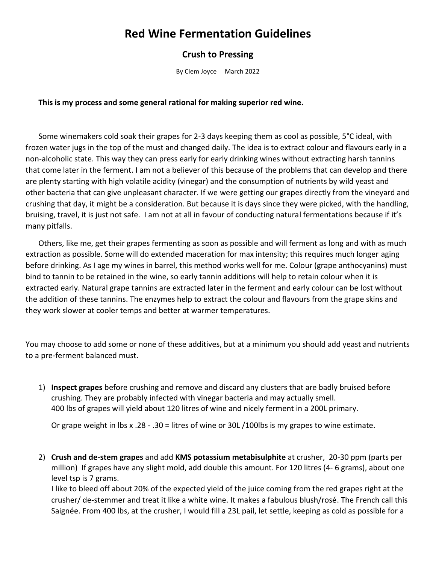# **Red Wine Fermentation Guidelines**

## **Crush to Pressing**

By Clem Joyce March 2022

#### **This is my process and some general rational for making superior red wine.**

Some winemakers cold soak their grapes for 2-3 days keeping them as cool as possible, 5°C ideal, with frozen water jugs in the top of the must and changed daily. The idea is to extract colour and flavours early in a non-alcoholic state. This way they can press early for early drinking wines without extracting harsh tannins that come later in the ferment. I am not a believer of this because of the problems that can develop and there are plenty starting with high volatile acidity (vinegar) and the consumption of nutrients by wild yeast and other bacteria that can give unpleasant character. If we were getting our grapes directly from the vineyard and crushing that day, it might be a consideration. But because it is days since they were picked, with the handling, bruising, travel, it is just not safe. I am not at all in favour of conducting natural fermentations because if it's many pitfalls.

Others, like me, get their grapes fermenting as soon as possible and will ferment as long and with as much extraction as possible. Some will do extended maceration for max intensity; this requires much longer aging before drinking. As I age my wines in barrel, this method works well for me. Colour (grape anthocyanins) must bind to tannin to be retained in the wine, so early tannin additions will help to retain colour when it is extracted early. Natural grape tannins are extracted later in the ferment and early colour can be lost without the addition of these tannins. The enzymes help to extract the colour and flavours from the grape skins and they work slower at cooler temps and better at warmer temperatures.

You may choose to add some or none of these additives, but at a minimum you should add yeast and nutrients to a pre-ferment balanced must.

1) **Inspect grapes** before crushing and remove and discard any clusters that are badly bruised before crushing. They are probably infected with vinegar bacteria and may actually smell. 400 lbs of grapes will yield about 120 litres of wine and nicely ferment in a 200L primary.

Or grape weight in lbs x .28 - .30 = litres of wine or 30L /100lbs is my grapes to wine estimate.

2) **Crush and de-stem grapes** and add **KMS potassium metabisulphite** at crusher, 20-30 ppm (parts per million) If grapes have any slight mold, add double this amount. For 120 litres (4- 6 grams), about one level tsp is 7 grams.

I like to bleed off about 20% of the expected yield of the juice coming from the red grapes right at the crusher/ de-stemmer and treat it like a white wine. It makes a fabulous blush/rosé. The French call this Saignée. From 400 lbs, at the crusher, I would fill a 23L pail, let settle, keeping as cold as possible for a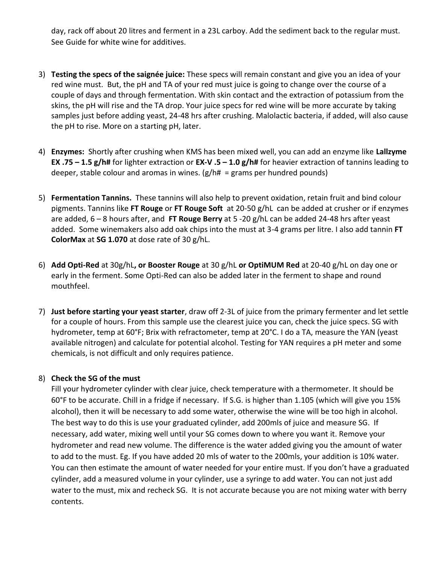day, rack off about 20 litres and ferment in a 23L carboy. Add the sediment back to the regular must. See Guide for white wine for additives.

- 3) **Testing the specs of the saignée juice:** These specs will remain constant and give you an idea of your red wine must. But, the pH and TA of your red must juice is going to change over the course of a couple of days and through fermentation. With skin contact and the extraction of potassium from the skins, the pH will rise and the TA drop. Your juice specs for red wine will be more accurate by taking samples just before adding yeast, 24-48 hrs after crushing. Malolactic bacteria, if added, will also cause the pH to rise. More on a starting pH, later.
- 4) **Enzymes:** Shortly after crushing when KMS has been mixed well, you can add an enzyme like **Lallzyme EX .75 – 1.5 g/h#** for lighter extraction or **EX-V .5 – 1.0 g/h#** for heavier extraction of tannins leading to deeper, stable colour and aromas in wines.  $(g/h# = grams$  per hundred pounds)
- 5) **Fermentation Tannins.** These tannins will also help to prevent oxidation, retain fruit and bind colour pigments. Tannins like **FT Rouge** or **FT Rouge Soft** at 20-50 g/hL can be added at crusher or if enzymes are added, 6 – 8 hours after, and **FT Rouge Berry** at 5 -20 g/hL can be added 24-48 hrs after yeast added. Some winemakers also add oak chips into the must at 3-4 grams per litre. I also add tannin **FT ColorMax** at **SG 1.070** at dose rate of 30 g/hL.
- 6) **Add Opti-Red** at 30g/hL**, or Booster Rouge** at 30 g/hL **or OptiMUM Red** at 20-40 g/hL on day one or early in the ferment. Some Opti-Red can also be added later in the ferment to shape and round mouthfeel.
- 7) **Just before starting your yeast starter**, draw off 2-3L of juice from the primary fermenter and let settle for a couple of hours. From this sample use the clearest juice you can, check the juice specs. SG with hydrometer, temp at 60°F; Brix with refractometer, temp at 20°C. I do a TA, measure the YAN (yeast available nitrogen) and calculate for potential alcohol. Testing for YAN requires a pH meter and some chemicals, is not difficult and only requires patience.

### 8) **Check the SG of the must**

Fill your hydrometer cylinder with clear juice, check temperature with a thermometer. It should be 60°F to be accurate. Chill in a fridge if necessary. If S.G. is higher than 1.105 (which will give you 15% alcohol), then it will be necessary to add some water, otherwise the wine will be too high in alcohol. The best way to do this is use your graduated cylinder, add 200mls of juice and measure SG. If necessary, add water, mixing well until your SG comes down to where you want it. Remove your hydrometer and read new volume. The difference is the water added giving you the amount of water to add to the must. Eg. If you have added 20 mls of water to the 200mls, your addition is 10% water. You can then estimate the amount of water needed for your entire must. If you don't have a graduated cylinder, add a measured volume in your cylinder, use a syringe to add water. You can not just add water to the must, mix and recheck SG. It is not accurate because you are not mixing water with berry contents.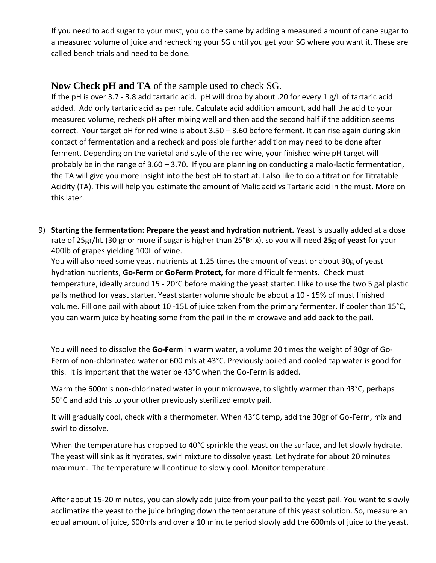If you need to add sugar to your must, you do the same by adding a measured amount of cane sugar to a measured volume of juice and rechecking your SG until you get your SG where you want it. These are called bench trials and need to be done.

## **Now Check pH and TA** of the sample used to check SG.

If the pH is over 3.7 - 3.8 add tartaric acid. pH will drop by about .20 for every 1 g/L of tartaric acid added. Add only tartaric acid as per rule. Calculate acid addition amount, add half the acid to your measured volume, recheck pH after mixing well and then add the second half if the addition seems correct. Your target pH for red wine is about 3.50 – 3.60 before ferment. It can rise again during skin contact of fermentation and a recheck and possible further addition may need to be done after ferment. Depending on the varietal and style of the red wine, your finished wine pH target will probably be in the range of 3.60 – 3.70. If you are planning on conducting a malo-lactic fermentation, the TA will give you more insight into the best pH to start at. I also like to do a titration for Titratable Acidity (TA). This will help you estimate the amount of Malic acid vs Tartaric acid in the must. More on this later.

9) **Starting the fermentation: Prepare the yeast and hydration nutrient.** Yeast is usually added at a dose rate of 25gr/hL (30 gr or more if sugar is higher than 25°Brix), so you will need **25g of yeast** for your 400lb of grapes yielding 100L of wine.

You will also need some yeast nutrients at 1.25 times the amount of yeast or about 30g of yeast hydration nutrients, **Go-Ferm** or **GoFerm Protect,** for more difficult ferments. Check must temperature, ideally around 15 - 20°C before making the yeast starter. I like to use the two 5 gal plastic pails method for yeast starter. Yeast starter volume should be about a 10 - 15% of must finished volume. Fill one pail with about 10 -15L of juice taken from the primary fermenter. If cooler than 15°C, you can warm juice by heating some from the pail in the microwave and add back to the pail.

You will need to dissolve the **Go-Ferm** in warm water, a volume 20 times the weight of 30gr of Go-Ferm of non-chlorinated water or 600 mls at 43°C. Previously boiled and cooled tap water is good for this. It is important that the water be 43°C when the Go-Ferm is added.

Warm the 600mls non-chlorinated water in your microwave, to slightly warmer than 43°C, perhaps 50°C and add this to your other previously sterilized empty pail.

It will gradually cool, check with a thermometer. When 43°C temp, add the 30gr of Go-Ferm, mix and swirl to dissolve.

When the temperature has dropped to 40°C sprinkle the yeast on the surface, and let slowly hydrate. The yeast will sink as it hydrates, swirl mixture to dissolve yeast. Let hydrate for about 20 minutes maximum. The temperature will continue to slowly cool. Monitor temperature.

After about 15-20 minutes, you can slowly add juice from your pail to the yeast pail. You want to slowly acclimatize the yeast to the juice bringing down the temperature of this yeast solution. So, measure an equal amount of juice, 600mls and over a 10 minute period slowly add the 600mls of juice to the yeast.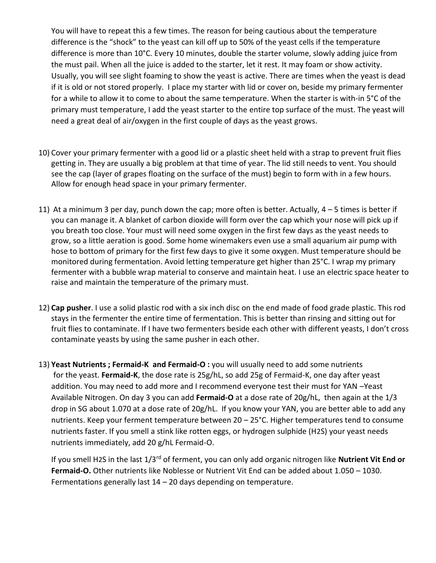You will have to repeat this a few times. The reason for being cautious about the temperature difference is the "shock" to the yeast can kill off up to 50% of the yeast cells if the temperature difference is more than 10°C. Every 10 minutes, double the starter volume, slowly adding juice from the must pail. When all the juice is added to the starter, let it rest. It may foam or show activity. Usually, you will see slight foaming to show the yeast is active. There are times when the yeast is dead if it is old or not stored properly. I place my starter with lid or cover on, beside my primary fermenter for a while to allow it to come to about the same temperature. When the starter is with-in 5°C of the primary must temperature, I add the yeast starter to the entire top surface of the must. The yeast will need a great deal of air/oxygen in the first couple of days as the yeast grows.

- 10) Cover your primary fermenter with a good lid or a plastic sheet held with a strap to prevent fruit flies getting in. They are usually a big problem at that time of year. The lid still needs to vent. You should see the cap (layer of grapes floating on the surface of the must) begin to form with in a few hours. Allow for enough head space in your primary fermenter.
- 11) At a minimum 3 per day, punch down the cap; more often is better. Actually,  $4 5$  times is better if you can manage it. A blanket of carbon dioxide will form over the cap which your nose will pick up if you breath too close. Your must will need some oxygen in the first few days as the yeast needs to grow, so a little aeration is good. Some home winemakers even use a small aquarium air pump with hose to bottom of primary for the first few days to give it some oxygen. Must temperature should be monitored during fermentation. Avoid letting temperature get higher than 25°C. I wrap my primary fermenter with a bubble wrap material to conserve and maintain heat. I use an electric space heater to raise and maintain the temperature of the primary must.
- 12) **Cap pusher**. I use a solid plastic rod with a six inch disc on the end made of food grade plastic. This rod stays in the fermenter the entire time of fermentation. This is better than rinsing and sitting out for fruit flies to contaminate. If I have two fermenters beside each other with different yeasts, I don't cross contaminate yeasts by using the same pusher in each other.
- 13) **Yeast Nutrients ; Fermaid-K and Fermaid-O :** you will usually need to add some nutrients for the yeast. **Fermaid-K**, the dose rate is 25g/hL, so add 25g of Fermaid-K, one day after yeast addition. You may need to add more and I recommend everyone test their must for YAN –Yeast Available Nitrogen. On day 3 you can add **Fermaid-O** at a dose rate of 20g/hL, then again at the 1/3 drop in SG about 1.070 at a dose rate of 20g/hL. If you know your YAN, you are better able to add any nutrients. Keep your ferment temperature between 20 – 25°C. Higher temperatures tend to consume nutrients faster. If you smell a stink like rotten eggs, or hydrogen sulphide (H2S) your yeast needs nutrients immediately, add 20 g/hL Fermaid-O.

If you smell H2S in the last 1/3rd of ferment, you can only add organic nitrogen like **Nutrient Vit End or Fermaid-O.** Other nutrients like Noblesse or Nutrient Vit End can be added about 1.050 – 1030. Fermentations generally last 14 – 20 days depending on temperature.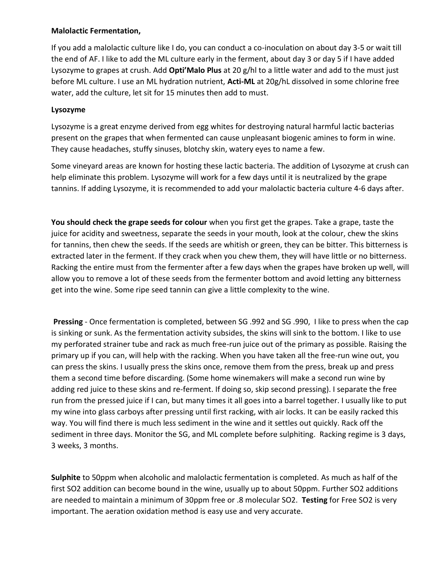### **Malolactic Fermentation,**

If you add a malolactic culture like I do, you can conduct a co-inoculation on about day 3-5 or wait till the end of AF. I like to add the ML culture early in the ferment, about day 3 or day 5 if I have added Lysozyme to grapes at crush. Add **Opti'Malo Plus** at 20 g/hl to a little water and add to the must just before ML culture. I use an ML hydration nutrient, **Acti-ML** at 20g/hL dissolved in some chlorine free water, add the culture, let sit for 15 minutes then add to must.

### **Lysozyme**

Lysozyme is a great enzyme derived from egg whites for destroying natural harmful lactic bacterias present on the grapes that when fermented can cause unpleasant biogenic amines to form in wine. They cause headaches, stuffy sinuses, blotchy skin, watery eyes to name a few.

Some vineyard areas are known for hosting these lactic bacteria. The addition of Lysozyme at crush can help eliminate this problem. Lysozyme will work for a few days until it is neutralized by the grape tannins. If adding Lysozyme, it is recommended to add your malolactic bacteria culture 4-6 days after.

**You should check the grape seeds for colour** when you first get the grapes. Take a grape, taste the juice for acidity and sweetness, separate the seeds in your mouth, look at the colour, chew the skins for tannins, then chew the seeds. If the seeds are whitish or green, they can be bitter. This bitterness is extracted later in the ferment. If they crack when you chew them, they will have little or no bitterness. Racking the entire must from the fermenter after a few days when the grapes have broken up well, will allow you to remove a lot of these seeds from the fermenter bottom and avoid letting any bitterness get into the wine. Some ripe seed tannin can give a little complexity to the wine.

**Pressing** - Once fermentation is completed, between SG .992 and SG .990, I like to press when the cap is sinking or sunk. As the fermentation activity subsides, the skins will sink to the bottom. I like to use my perforated strainer tube and rack as much free-run juice out of the primary as possible. Raising the primary up if you can, will help with the racking. When you have taken all the free-run wine out, you can press the skins. I usually press the skins once, remove them from the press, break up and press them a second time before discarding. (Some home winemakers will make a second run wine by adding red juice to these skins and re-ferment. If doing so, skip second pressing). I separate the free run from the pressed juice if I can, but many times it all goes into a barrel together. I usually like to put my wine into glass carboys after pressing until first racking, with air locks. It can be easily racked this way. You will find there is much less sediment in the wine and it settles out quickly. Rack off the sediment in three days. Monitor the SG, and ML complete before sulphiting. Racking regime is 3 days, 3 weeks, 3 months.

**Sulphite** to 50ppm when alcoholic and malolactic fermentation is completed. As much as half of the first SO2 addition can become bound in the wine, usually up to about 50ppm. Further SO2 additions are needed to maintain a minimum of 30ppm free or .8 molecular SO2. **Testing** for Free SO2 is very important. The aeration oxidation method is easy use and very accurate.